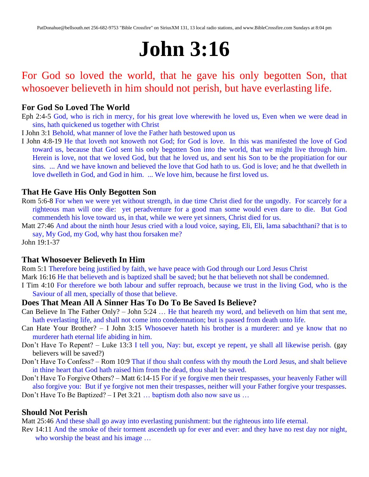# **John 3:16**

# For God so loved the world, that he gave his only begotten Son, that whosoever believeth in him should not perish, but have everlasting life.

### **For God So Loved The World**

- Eph 2:4-5 God, who is rich in mercy, for his great love wherewith he loved us, Even when we were dead in sins, hath quickened us together with Christ
- I John 3:1 Behold, what manner of love the Father hath bestowed upon us
- I John 4:8-19 He that loveth not knoweth not God; for God is love. In this was manifested the love of God toward us, because that God sent his only begotten Son into the world, that we might live through him. Herein is love, not that we loved God, but that he loved us, and sent his Son to be the propitiation for our sins. ... And we have known and believed the love that God hath to us. God is love; and he that dwelleth in love dwelleth in God, and God in him. ... We love him, because he first loved us.

#### **That He Gave His Only Begotten Son**

- Rom 5:6-8 For when we were yet without strength, in due time Christ died for the ungodly. For scarcely for a righteous man will one die: yet peradventure for a good man some would even dare to die. But God commendeth his love toward us, in that, while we were yet sinners, Christ died for us.
- Matt 27:46 And about the ninth hour Jesus cried with a loud voice, saying, Eli, Eli, lama sabachthani? that is to say, My God, my God, why hast thou forsaken me?

John 19:1-37

#### **That Whosoever Believeth In Him**

Rom 5:1 Therefore being justified by faith, we have peace with God through our Lord Jesus Christ

Mark 16:16 He that believeth and is baptized shall be saved; but he that believeth not shall be condemned.

I Tim 4:10 For therefore we both labour and suffer reproach, because we trust in the living God, who is the Saviour of all men, specially of those that believe.

#### **Does That Mean All A Sinner Has To Do To Be Saved Is Believe?**

- Can Believe In The Father Only? John 5:24 … He that heareth my word, and believeth on him that sent me, hath everlasting life, and shall not come into condemnation; but is passed from death unto life.
- Can Hate Your Brother? I John 3:15 Whosoever hateth his brother is a murderer: and ye know that no murderer hath eternal life abiding in him.
- Don't Have To Repent? Luke 13:3 I tell you, Nay: but, except ye repent, ye shall all likewise perish. (gay believers will be saved?)
- Don't Have To Confess? Rom 10:9 That if thou shalt confess with thy mouth the Lord Jesus, and shalt believe in thine heart that God hath raised him from the dead, thou shalt be saved.
- Don't Have To Forgive Others? Matt 6:14-15 For if ye forgive men their trespasses, your heavenly Father will also forgive you: But if ye forgive not men their trespasses, neither will your Father forgive your trespasses. Don't Have To Be Baptized? – I Pet 3:21 … baptism doth also now save us …

#### **Should Not Perish**

Matt 25:46 And these shall go away into everlasting punishment: but the righteous into life eternal.

Rev 14:11 And the smoke of their torment ascendeth up for ever and ever: and they have no rest day nor night, who worship the beast and his image ...